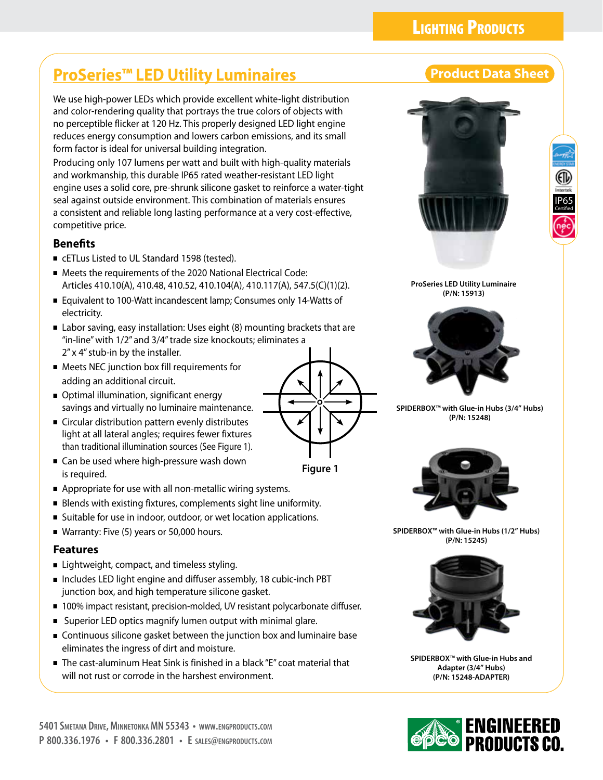# **LIGHTING PRODUCTS**

# **ProSeries™ LED Utility Luminaires Product Data Sheet**

We use high-power LEDs which provide excellent white-light distribution and color-rendering quality that portrays the true colors of objects with no perceptible flicker at 120 Hz. This properly designed LED light engine reduces energy consumption and lowers carbon emissions, and its small form factor is ideal for universal building integration.

Producing only 107 lumens per watt and built with high-quality materials and workmanship, this durable IP65 rated weather-resistant LED light engine uses a solid core, pre-shrunk silicone gasket to reinforce a water-tight seal against outside environment. This combination of materials ensures a consistent and reliable long lasting performance at a very cost-effective, competitive price.

## **Benefits**

- cETLus Listed to UL Standard 1598 (tested).
- Meets the requirements of the 2020 National Electrical Code: Articles 410.10(A), 410.48, 410.52, 410.104(A), 410.117(A), 547.5(C)(1)(2).
- Equivalent to 100-Watt incandescent lamp; Consumes only 14-Watts of electricity.
- Labor saving, easy installation: Uses eight (8) mounting brackets that are "in-line" with 1/2" and 3/4" trade size knockouts; eliminates a 2" x 4" stub-in by the installer.
- Meets NEC junction box fill requirements for adding an additional circuit.
- Optimal illumination, significant energy savings and virtually no luminaire maintenance.
- Circular distribution pattern evenly distributes light at all lateral angles; requires fewer fixtures than traditional illumination sources (See Figure 1).
- Can be used where high-pressure wash down is required.
- Appropriate for use with all non-metallic wiring systems.
- Blends with existing fixtures, complements sight line uniformity.
- Suitable for use in indoor, outdoor, or wet location applications.
- Warranty: Five (5) years or 50,000 hours.

## **Features**

- Lightweight, compact, and timeless styling.
- Includes LED light engine and diffuser assembly, 18 cubic-inch PBT junction box, and high temperature silicone gasket.
- 100% impact resistant, precision-molded, UV resistant polycarbonate diffuser.
- Superior LED optics magnify lumen output with minimal glare.
- Continuous silicone gasket between the junction box and luminaire base eliminates the ingress of dirt and moisture.
- The cast-aluminum Heat Sink is finished in a black "E" coat material that will not rust or corrode in the harshest environment.





**ProSeries LED Utility Luminaire (P/N: 15913)**



**SPIDERBOX™ with Glue-in Hubs (3/4" Hubs) (P/N: 15248)**



**SPIDERBOX™ with Glue-in Hubs (1/2" Hubs) (P/N: 15245)**



**SPIDERBOX™ with Glue-in Hubs and Adapter (3/4" Hubs) (P/N: 15248-ADAPTER)**